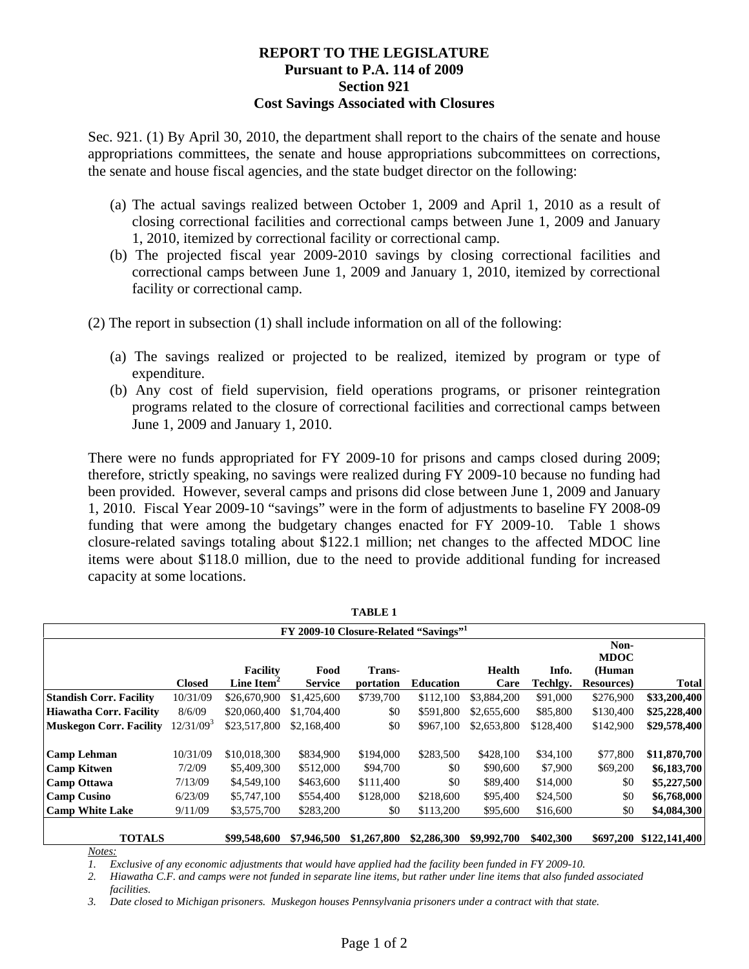## **REPORT TO THE LEGISLATURE Pursuant to P.A. 114 of 2009 Section 921 Cost Savings Associated with Closures**

Sec. 921. (1) By April 30, 2010, the department shall report to the chairs of the senate and house appropriations committees, the senate and house appropriations subcommittees on corrections, the senate and house fiscal agencies, and the state budget director on the following:

- (a) The actual savings realized between October 1, 2009 and April 1, 2010 as a result of closing correctional facilities and correctional camps between June 1, 2009 and January 1, 2010, itemized by correctional facility or correctional camp.
- (b) The projected fiscal year 2009-2010 savings by closing correctional facilities and correctional camps between June 1, 2009 and January 1, 2010, itemized by correctional facility or correctional camp.

(2) The report in subsection (1) shall include information on all of the following:

- (a) The savings realized or projected to be realized, itemized by program or type of expenditure.
- (b) Any cost of field supervision, field operations programs, or prisoner reintegration programs related to the closure of correctional facilities and correctional camps between June 1, 2009 and January 1, 2010.

There were no funds appropriated for FY 2009-10 for prisons and camps closed during 2009; therefore, strictly speaking, no savings were realized during FY 2009-10 because no funding had been provided. However, several camps and prisons did close between June 1, 2009 and January 1, 2010. Fiscal Year 2009-10 "savings" were in the form of adjustments to baseline FY 2008-09 funding that were among the budgetary changes enacted for FY 2009-10. Table 1 shows closure-related savings totaling about \$122.1 million; net changes to the affected MDOC line items were about \$118.0 million, due to the need to provide additional funding for increased capacity at some locations.

| <b>TABLE 1</b>                                    |                       |                        |                |             |                  |             |           |                    |               |
|---------------------------------------------------|-----------------------|------------------------|----------------|-------------|------------------|-------------|-----------|--------------------|---------------|
| FY 2009-10 Closure-Related "Savings" <sup>1</sup> |                       |                        |                |             |                  |             |           |                    |               |
|                                                   |                       |                        |                |             |                  |             |           | Non-               |               |
|                                                   |                       |                        |                |             |                  |             |           | <b>MDOC</b>        |               |
|                                                   |                       | <b>Facility</b>        | Food           | Trans-      |                  | Health      | Info.     | (Human             |               |
|                                                   | <b>Closed</b>         | Line Item <sup>-</sup> | <b>Service</b> | portation   | <b>Education</b> | Care        | Techlgy.  | <b>Resources</b> ) | <b>Total</b>  |
| <b>Standish Corr. Facility</b>                    | 10/31/09              | \$26,670,900           | \$1,425,600    | \$739,700   | \$112,100        | \$3,884,200 | \$91,000  | \$276,900          | \$33,200,400  |
| Hiawatha Corr. Facility                           | 8/6/09                | \$20,060,400           | \$1,704,400    | \$0         | \$591,800        | \$2,655,600 | \$85,800  | \$130,400          | \$25,228,400  |
| <b>Muskegon Corr. Facility</b>                    | 12/31/09 <sup>3</sup> | \$23,517,800           | \$2,168,400    | \$0         | \$967,100        | \$2,653,800 | \$128,400 | \$142,900          | \$29,578,400  |
| <b>Camp Lehman</b>                                | 10/31/09              | \$10,018,300           | \$834,900      | \$194,000   | \$283,500        | \$428,100   | \$34,100  | \$77,800           | \$11,870,700  |
| <b>Camp Kitwen</b>                                | 7/2/09                | \$5,409,300            | \$512,000      | \$94,700    | \$0              | \$90,600    | \$7,900   | \$69,200           | \$6,183,700   |
| <b>Camp Ottawa</b>                                | 7/13/09               | \$4,549,100            | \$463,600      | \$111,400   | \$0              | \$89,400    | \$14,000  | \$0                | \$5,227,500   |
| <b>Camp Cusino</b>                                | 6/23/09               | \$5,747,100            | \$554,400      | \$128,000   | \$218,600        | \$95,400    | \$24,500  | \$0                | \$6,768,000   |
| <b>Camp White Lake</b>                            | 9/11/09               | \$3,575,700            | \$283,200      | \$0         | \$113,200        | \$95,600    | \$16,600  | \$0                | \$4,084,300   |
| <b>TOTALS</b>                                     |                       | \$99,548,600           | \$7,946,500    | \$1,267,800 | \$2,286,300      | \$9,992,700 | \$402,300 | \$697,200          | \$122,141,400 |

*Notes:*

*1. Exclusive of any economic adjustments that would have applied had the facility been funded in FY 2009-10.* 

*2. Hiawatha C.F. and camps were not funded in separate line items, but rather under line items that also funded associated facilities.* 

*3. Date closed to Michigan prisoners. Muskegon houses Pennsylvania prisoners under a contract with that state.*